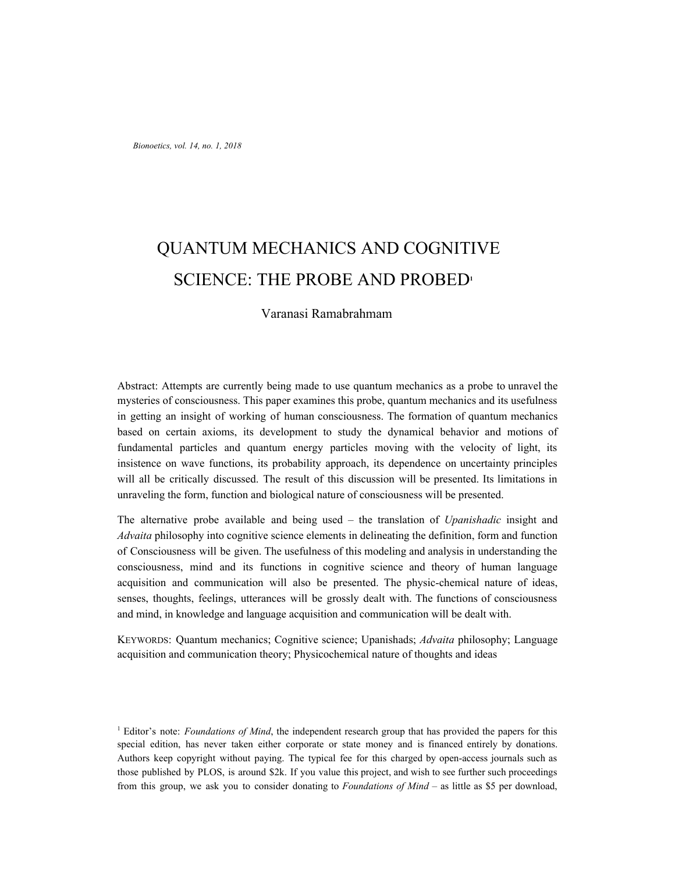# QUANTUM MECHANICS AND COGNITIVE SCIENCE: THE PROBE AND PROBED**<sup>1</sup>**

Varanasi Ramabrahmam

Abstract: Attempts are currently being made to use quantum mechanics as a probe to unravel the mysteries of consciousness. This paper examines this probe, quantum mechanics and its usefulness in getting an insight of working of human consciousness. The formation of quantum mechanics based on certain axioms, its development to study the dynamical behavior and motions of fundamental particles and quantum energy particles moving with the velocity of light, its insistence on wave functions, its probability approach, its dependence on uncertainty principles will all be critically discussed. The result of this discussion will be presented. Its limitations in unraveling the form, function and biological nature of consciousness will be presented.

The alternative probe available and being used – the translation of *Upanishadic* insight and *Advaita* philosophy into cognitive science elements in delineating the definition, form and function of Consciousness will be given. The usefulness of this modeling and analysis in understanding the consciousness, mind and its functions in cognitive science and theory of human language acquisition and communication will also be presented. The physic-chemical nature of ideas, senses, thoughts, feelings, utterances will be grossly dealt with. The functions of consciousness and mind, in knowledge and language acquisition and communication will be dealt with.

KEYWORDS: Quantum mechanics; Cognitive science; Upanishads; *Advaita* philosophy; Language acquisition and communication theory; Physicochemical nature of thoughts and ideas

<sup>1</sup> Editor's note: *Foundations of Mind*, the independent research group that has provided the papers for this special edition, has never taken either corporate or state money and is financed entirely by donations. Authors keep copyright without paying. The typical fee for this charged by open-access journals such as those published by PLOS, is around \$2k. If you value this project, and wish to see further such proceedings from this group, we ask you to consider donating to *Foundations of Mind* – as little as \$5 per download,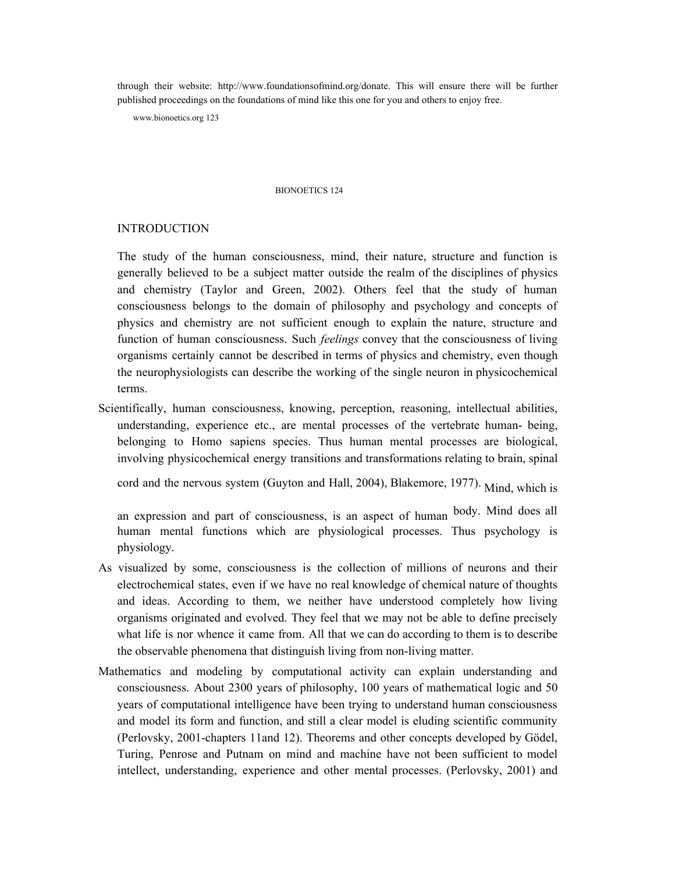through their website: http://www.foundationsofmind.org/donate. This will ensure there will be further published proceedings on the foundations of mind like this one for you and others to enjoy free.

www.bionoetics.org 123

#### BIONOETICS 124

#### INTRODUCTION

The study of the human consciousness, mind, their nature, structure and function is generally believed to be a subject matter outside the realm of the disciplines of physics and chemistry (Taylor and Green, 2002). Others feel that the study of human consciousness belongs to the domain of philosophy and psychology and concepts of physics and chemistry are not sufficient enough to explain the nature, structure and function of human consciousness. Such *feelings* convey that the consciousness of living organisms certainly cannot be described in terms of physics and chemistry, even though the neurophysiologists can describe the working of the single neuron in physicochemical terms.

Scientifically, human consciousness, knowing, perception, reasoning, intellectual abilities, understanding, experience etc., are mental processes of the vertebrate human- being, belonging to Homo sapiens species. Thus human mental processes are biological, involving physicochemical energy transitions and transformations relating to brain, spinal

cord and the nervous system (Guyton and Hall, 2004), Blakemore, 1977). Mind, which is

an expression and part of consciousness, is an aspect of human body. Mind does all human mental functions which are physiological processes. Thus psychology is physiology.

- As visualized by some, consciousness is the collection of millions of neurons and their electrochemical states, even if we have no real knowledge of chemical nature of thoughts and ideas. According to them, we neither have understood completely how living organisms originated and evolved. They feel that we may not be able to define precisely what life is nor whence it came from. All that we can do according to them is to describe the observable phenomena that distinguish living from non-living matter.
- Mathematics and modeling by computational activity can explain understanding and consciousness. About 2300 years of philosophy, 100 years of mathematical logic and 50 years of computational intelligence have been trying to understand human consciousness and model its form and function, and still a clear model is eluding scientific community (Perlovsky, 2001-chapters 11and 12). Theorems and other concepts developed by Gödel, Turing, Penrose and Putnam on mind and machine have not been sufficient to model intellect, understanding, experience and other mental processes. (Perlovsky, 2001) and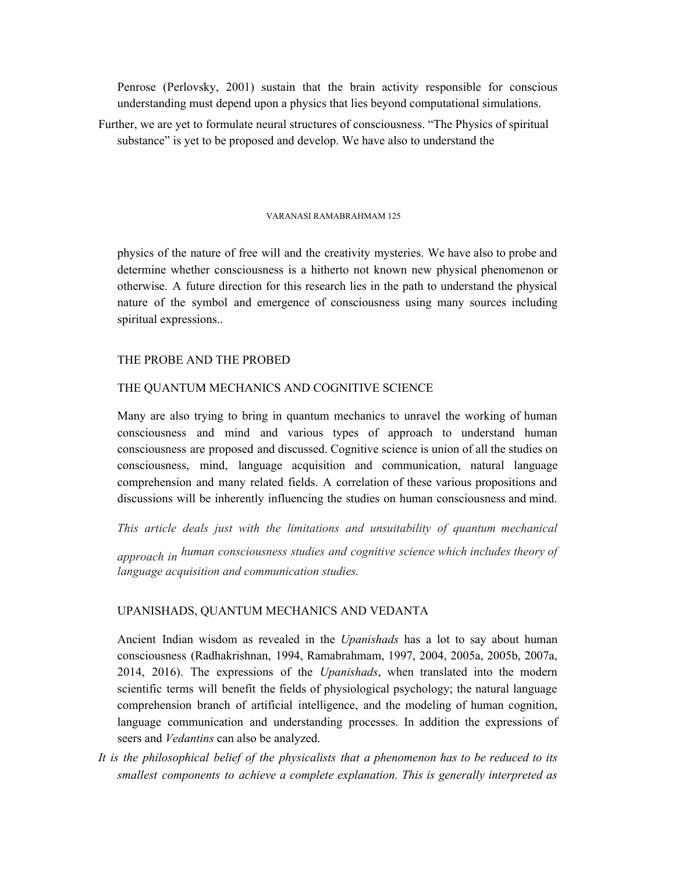Penrose (Perlovsky, 2001) sustain that the brain activity responsible for conscious understanding must depend upon a physics that lies beyond computational simulations.

Further, we are yet to formulate neural structures of consciousness. "The Physics of spiritual substance" is yet to be proposed and develop. We have also to understand the

#### VARANASI RAMABRAHMAM 125

physics of the nature of free will and the creativity mysteries. We have also to probe and determine whether consciousness is a hitherto not known new physical phenomenon or otherwise. A future direction for this research lies in the path to understand the physical nature of the symbol and emergence of consciousness using many sources including spiritual expressions..

#### THE PROBE AND THE PROBED

## THE QUANTUM MECHANICS AND COGNITIVE SCIENCE

Many are also trying to bring in quantum mechanics to unravel the working of human consciousness and mind and various types of approach to understand human consciousness are proposed and discussed. Cognitive science is union of all the studies on consciousness, mind, language acquisition and communication, natural language comprehension and many related fields. A correlation of these various propositions and discussions will be inherently influencing the studies on human consciousness and mind.

*This article deals just with the limitations and unsuitability of quantum mechanical approach in human consciousness studies and cognitive science which includes theory of language acquisition and communication studies.*

## UPANISHADS, QUANTUM MECHANICS AND VEDANTA

Ancient Indian wisdom as revealed in the *Upanishads* has a lot to say about human consciousness (Radhakrishnan, 1994, Ramabrahmam, 1997, 2004, 2005a, 2005b, 2007a, 2014, 2016). The expressions of the *Upanishads*, when translated into the modern scientific terms will benefit the fields of physiological psychology; the natural language comprehension branch of artificial intelligence, and the modeling of human cognition, language communication and understanding processes. In addition the expressions of seers and *Vedantins* can also be analyzed.

*It is the philosophical belief of the physicalists that a phenomenon has to be reduced to its smallest components to achieve a complete explanation. This is generally interpreted as*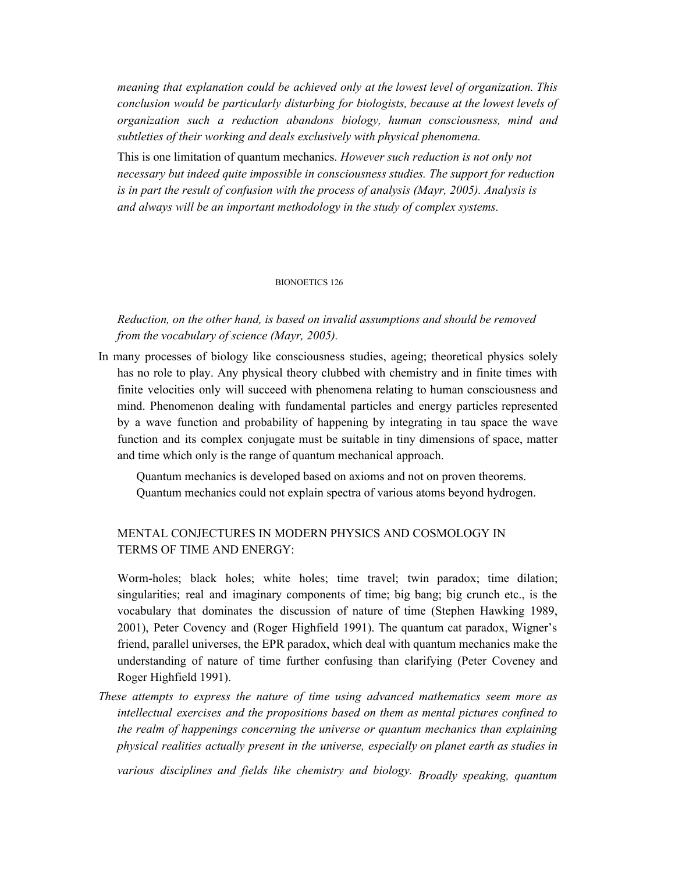*meaning that explanation could be achieved only at the lowest level of organization. This conclusion would be particularly disturbing for biologists, because at the lowest levels of organization such a reduction abandons biology, human consciousness, mind and subtleties of their working and deals exclusively with physical phenomena.*

This is one limitation of quantum mechanics. *However such reduction is not only not necessary but indeed quite impossible in consciousness studies. The support for reduction is in part the result of confusion with the process of analysis (Mayr, 2005). Analysis is and always will be an important methodology in the study of complex systems.*

#### BIONOETICS 126

*Reduction, on the other hand, is based on invalid assumptions and should be removed from the vocabulary of science (Mayr, 2005).*

In many processes of biology like consciousness studies, ageing; theoretical physics solely has no role to play. Any physical theory clubbed with chemistry and in finite times with finite velocities only will succeed with phenomena relating to human consciousness and mind. Phenomenon dealing with fundamental particles and energy particles represented by a wave function and probability of happening by integrating in tau space the wave function and its complex conjugate must be suitable in tiny dimensions of space, matter and time which only is the range of quantum mechanical approach.

Quantum mechanics is developed based on axioms and not on proven theorems. Quantum mechanics could not explain spectra of various atoms beyond hydrogen.

## MENTAL CONJECTURES IN MODERN PHYSICS AND COSMOLOGY IN TERMS OF TIME AND ENERGY:

Worm-holes; black holes; white holes; time travel; twin paradox; time dilation; singularities; real and imaginary components of time; big bang; big crunch etc., is the vocabulary that dominates the discussion of nature of time (Stephen Hawking 1989, 2001), Peter Covency and (Roger Highfield 1991). The quantum cat paradox, Wigner's friend, parallel universes, the EPR paradox, which deal with quantum mechanics make the understanding of nature of time further confusing than clarifying (Peter Coveney and Roger Highfield 1991).

*These attempts to express the nature of time using advanced mathematics seem more as intellectual exercises and the propositions based on them as mental pictures confined to the realm of happenings concerning the universe or quantum mechanics than explaining physical realities actually present in the universe, especially on planet earth as studies in*

*various disciplines and fields like chemistry and biology. Broadly speaking, quantum*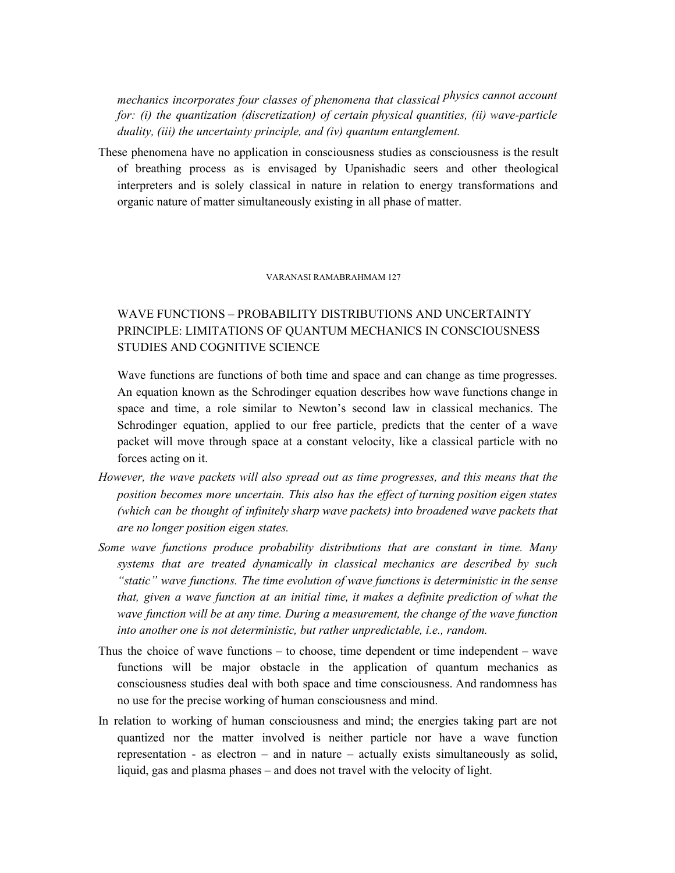*mechanics incorporates four classes of phenomena that classical physics cannot account for: (i) the quantization (discretization) of certain physical quantities, (ii) wave-particle duality, (iii) the uncertainty principle, and (iv) quantum entanglement.*

These phenomena have no application in consciousness studies as consciousness is the result of breathing process as is envisaged by Upanishadic seers and other theological interpreters and is solely classical in nature in relation to energy transformations and organic nature of matter simultaneously existing in all phase of matter.

#### VARANASI RAMABRAHMAM 127

## WAVE FUNCTIONS – PROBABILITY DISTRIBUTIONS AND UNCERTAINTY PRINCIPLE: LIMITATIONS OF QUANTUM MECHANICS IN CONSCIOUSNESS STUDIES AND COGNITIVE SCIENCE

Wave functions are functions of both time and space and can change as time progresses. An equation known as the Schrodinger equation describes how wave functions change in space and time, a role similar to Newton's second law in classical mechanics. The Schrodinger equation, applied to our free particle, predicts that the center of a wave packet will move through space at a constant velocity, like a classical particle with no forces acting on it.

- *However, the wave packets will also spread out as time progresses, and this means that the position becomes more uncertain. This also has the ef ect of turning position eigen states (which can be thought of infinitely sharp wave packets) into broadened wave packets that are no longer position eigen states.*
- *Some wave functions produce probability distributions that are constant in time. Many systems that are treated dynamically in classical mechanics are described by such "static" wave functions. The time evolution of wave functions is deterministic in the sense that, given a wave function at an initial time, it makes a definite prediction of what the wave function will be at any time. During a measurement, the change of the wave function into another one is not deterministic, but rather unpredictable, i.e., random.*
- Thus the choice of wave functions to choose, time dependent or time independent wave functions will be major obstacle in the application of quantum mechanics as consciousness studies deal with both space and time consciousness. And randomness has no use for the precise working of human consciousness and mind.
- In relation to working of human consciousness and mind; the energies taking part are not quantized nor the matter involved is neither particle nor have a wave function representation - as electron – and in nature – actually exists simultaneously as solid, liquid, gas and plasma phases – and does not travel with the velocity of light.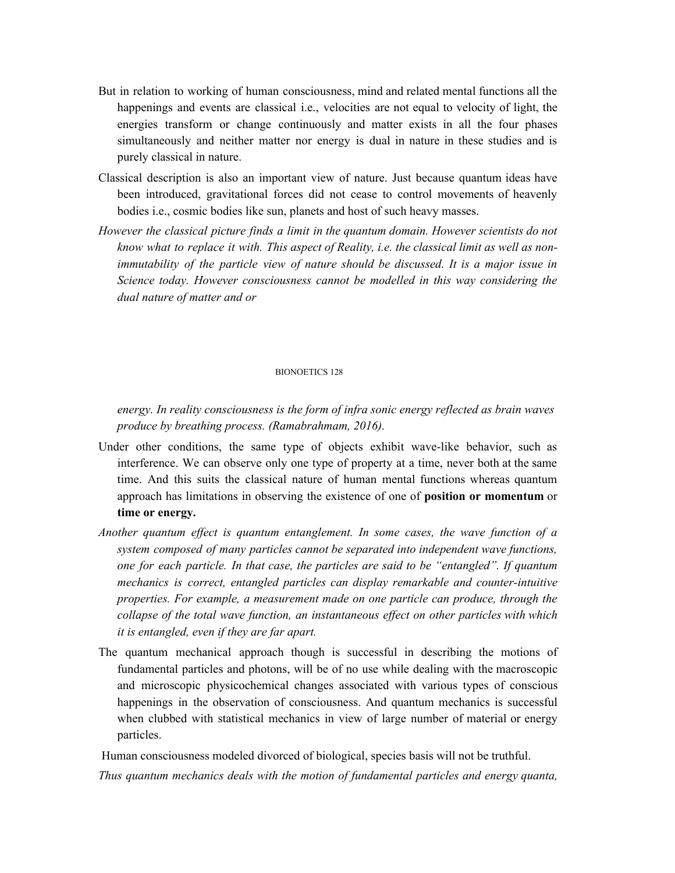- But in relation to working of human consciousness, mind and related mental functions all the happenings and events are classical i.e., velocities are not equal to velocity of light, the energies transform or change continuously and matter exists in all the four phases simultaneously and neither matter nor energy is dual in nature in these studies and is purely classical in nature.
- Classical description is also an important view of nature. Just because quantum ideas have been introduced, gravitational forces did not cease to control movements of heavenly bodies i.e., cosmic bodies like sun, planets and host of such heavy masses.
- *However the classical picture finds a limit in the quantum domain. However scientists do not know what to replace it with. This aspect of Reality, i.e. the classical limit as well as nonimmutability of the particle view of nature should be discussed. It is a major issue in Science today. However consciousness cannot be modelled in this way considering the dual nature of matter and or*

#### BIONOETICS 128

*energy. In reality consciousness is the form of infra sonic energy reflected as brain waves produce by breathing process. (Ramabrahmam, 2016).*

- Under other conditions, the same type of objects exhibit wave-like behavior, such as interference. We can observe only one type of property at a time, never both at the same time. And this suits the classical nature of human mental functions whereas quantum approach has limitations in observing the existence of one of **position or momentum** or **time or energy.**
- *Another quantum ef ect is quantum entanglement. In some cases, the wave function of a system composed of many particles cannot be separated into independent wave functions, one for each particle. In that case, the particles are said to be "entangled". If quantum mechanics is correct, entangled particles can display remarkable and counter-intuitive properties. For example, a measurement made on one particle can produce, through the collapse of the total wave function, an instantaneous ef ect on other particles with which it is entangled, even if they are far apart.*
- The quantum mechanical approach though is successful in describing the motions of fundamental particles and photons, will be of no use while dealing with the macroscopic and microscopic physicochemical changes associated with various types of conscious happenings in the observation of consciousness. And quantum mechanics is successful when clubbed with statistical mechanics in view of large number of material or energy particles.

Human consciousness modeled divorced of biological, species basis will not be truthful.

*Thus quantum mechanics deals with the motion of fundamental particles and energy quanta,*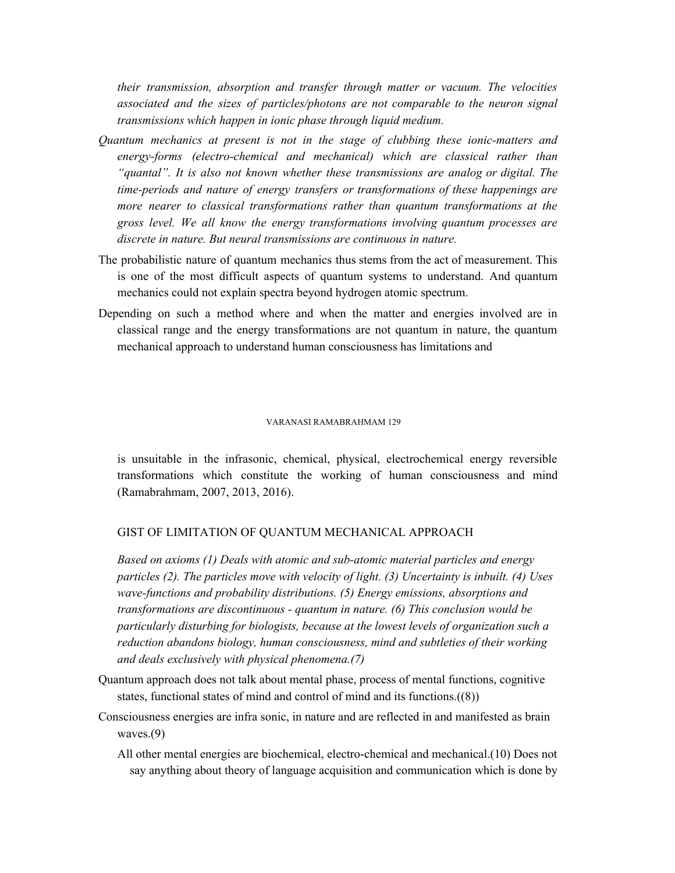*their transmission, absorption and transfer through matter or vacuum. The velocities associated and the sizes of particles/photons are not comparable to the neuron signal transmissions which happen in ionic phase through liquid medium.*

- *Quantum mechanics at present is not in the stage of clubbing these ionic-matters and energy-forms (electro-chemical and mechanical) which are classical rather than "quantal". It is also not known whether these transmissions are analog or digital. The time-periods and nature of energy transfers or transformations of these happenings are more nearer to classical transformations rather than quantum transformations at the gross level. We all know the energy transformations involving quantum processes are discrete in nature. But neural transmissions are continuous in nature.*
- The probabilistic nature of quantum mechanics thus stems from the act of measurement. This is one of the most difficult aspects of quantum systems to understand. And quantum mechanics could not explain spectra beyond hydrogen atomic spectrum.
- Depending on such a method where and when the matter and energies involved are in classical range and the energy transformations are not quantum in nature, the quantum mechanical approach to understand human consciousness has limitations and

#### VARANASI RAMABRAHMAM 129

is unsuitable in the infrasonic, chemical, physical, electrochemical energy reversible transformations which constitute the working of human consciousness and mind (Ramabrahmam, 2007, 2013, 2016).

## GIST OF LIMITATION OF QUANTUM MECHANICAL APPROACH

*Based on axioms (1) Deals with atomic and sub-atomic material particles and energy particles (2). The particles move with velocity of light. (3) Uncertainty is inbuilt. (4) Uses wave-functions and probability distributions. (5) Energy emissions, absorptions and transformations are discontinuous - quantum in nature. (6) This conclusion would be particularly disturbing for biologists, because at the lowest levels of organization such a reduction abandons biology, human consciousness, mind and subtleties of their working and deals exclusively with physical phenomena.(7)*

- Quantum approach does not talk about mental phase, process of mental functions, cognitive states, functional states of mind and control of mind and its functions.((8))
- Consciousness energies are infra sonic, in nature and are reflected in and manifested as brain waves.(9)
	- All other mental energies are biochemical, electro-chemical and mechanical.(10) Does not say anything about theory of language acquisition and communication which is done by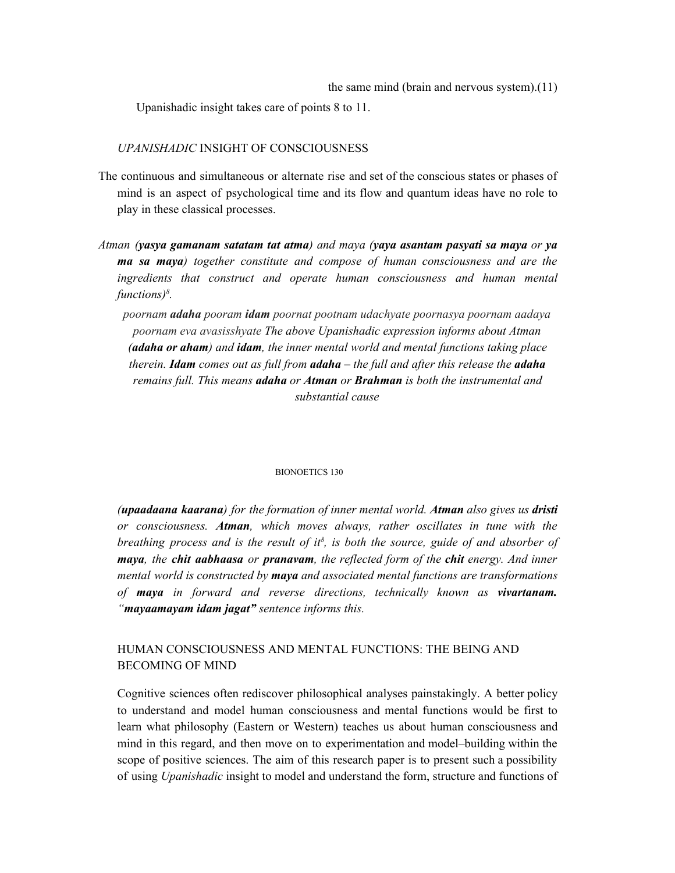Upanishadic insight takes care of points 8 to 11.

## *UPANISHADIC* INSIGHT OF CONSCIOUSNESS

- The continuous and simultaneous or alternate rise and set of the conscious states or phases of mind is an aspect of psychological time and its flow and quantum ideas have no role to play in these classical processes.
- *Atman (yasya gamanam satatam tat atma) and maya (yaya asantam pasyati sa maya or ya ma sa maya) together constitute and compose of human consciousness and are the ingredients that construct and operate human consciousness and human mental functions) 8 .*
	- *poornam adaha pooram idam poornat pootnam udachyate poornasya poornam aadaya poornam eva avasisshyate The above Upanishadic expression informs about Atman (adaha or aham) and idam, the inner mental world and mental functions taking place therein. Idam comes out as full from adaha – the full and after this release the adaha remains full. This means adaha or Atman or Brahman is both the instrumental and substantial cause*

#### BIONOETICS 130

*(upaadaana kaarana) for the formation of inner mental world. Atman also gives us dristi or consciousness. Atman, which moves always, rather oscillates in tune with the breathing process and is the result of it 8 , is both the source, guide of and absorber of maya, the chit aabhaasa or pranavam, the reflected form of the chit energy. And inner mental world is constructed by maya and associated mental functions are transformations of maya in forward and reverse directions, technically known as vivartanam. "mayaamayam idam jagat" sentence informs this.*

## HUMAN CONSCIOUSNESS AND MENTAL FUNCTIONS: THE BEING AND BECOMING OF MIND

Cognitive sciences often rediscover philosophical analyses painstakingly. A better policy to understand and model human consciousness and mental functions would be first to learn what philosophy (Eastern or Western) teaches us about human consciousness and mind in this regard, and then move on to experimentation and model–building within the scope of positive sciences. The aim of this research paper is to present such a possibility of using *Upanishadic* insight to model and understand the form, structure and functions of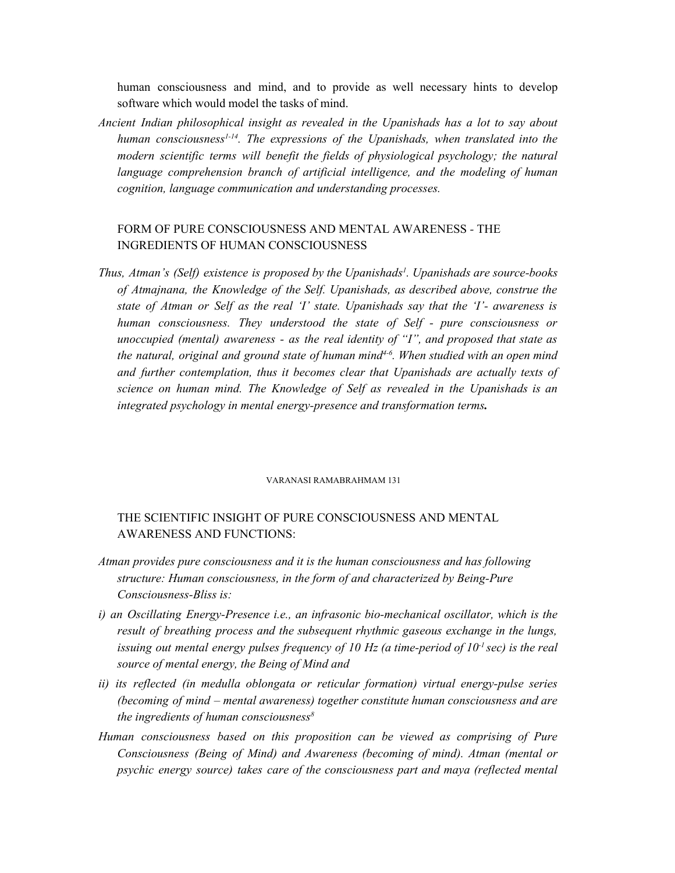human consciousness and mind, and to provide as well necessary hints to develop software which would model the tasks of mind.

*Ancient Indian philosophical insight as revealed in the Upanishads has a lot to say about human consciousness 1-14 . The expressions of the Upanishads, when translated into the modern scientific terms will benefit the fields of physiological psychology; the natural language comprehension branch of artificial intelligence, and the modeling of human cognition, language communication and understanding processes.*

## FORM OF PURE CONSCIOUSNESS AND MENTAL AWARENESS *-* THE INGREDIENTS OF HUMAN CONSCIOUSNESS

*Thus, Atman's (Self) existence is proposed by the Upanishads 1 . Upanishads are source-books of Atmajnana, the Knowledge of the Self. Upanishads, as described above, construe the state of Atman or Self as the real 'I' state. Upanishads say that the 'I'- awareness is human consciousness. They understood the state of Self - pure consciousness or unoccupied (mental) awareness - as the real identity of "I", and proposed that state as the natural, original and ground state of human mind 4-6 . When studied with an open mind and further contemplation, thus it becomes clear that Upanishads are actually texts of science on human mind. The Knowledge of Self as revealed in the Upanishads is an integrated psychology in mental energy-presence and transformation terms.*

#### VARANASI RAMABRAHMAM 131

## THE SCIENTIFIC INSIGHT OF PURE CONSCIOUSNESS AND MENTAL AWARENESS AND FUNCTIONS:

- *Atman provides pure consciousness and it is the human consciousness and has following structure: Human consciousness, in the form of and characterized by Being-Pure Consciousness-Bliss is:*
- *i) an Oscillating Energy-Presence i.e., an infrasonic bio-mechanical oscillator, which is the result of breathing process and the subsequent rhythmic gaseous exchange in the lungs, issuing out mental energy pulses frequency of 10 Hz (a time-period of 10 -1 sec) is the real source of mental energy, the Being of Mind and*
- *ii) its reflected (in medulla oblongata or reticular formation) virtual energy-pulse series (becoming of mind – mental awareness) together constitute human consciousness and are the ingredients of human consciousness 8*
- *Human consciousness based on this proposition can be viewed as comprising of Pure Consciousness (Being of Mind) and Awareness (becoming of mind). Atman (mental or psychic energy source) takes care of the consciousness part and maya (reflected mental*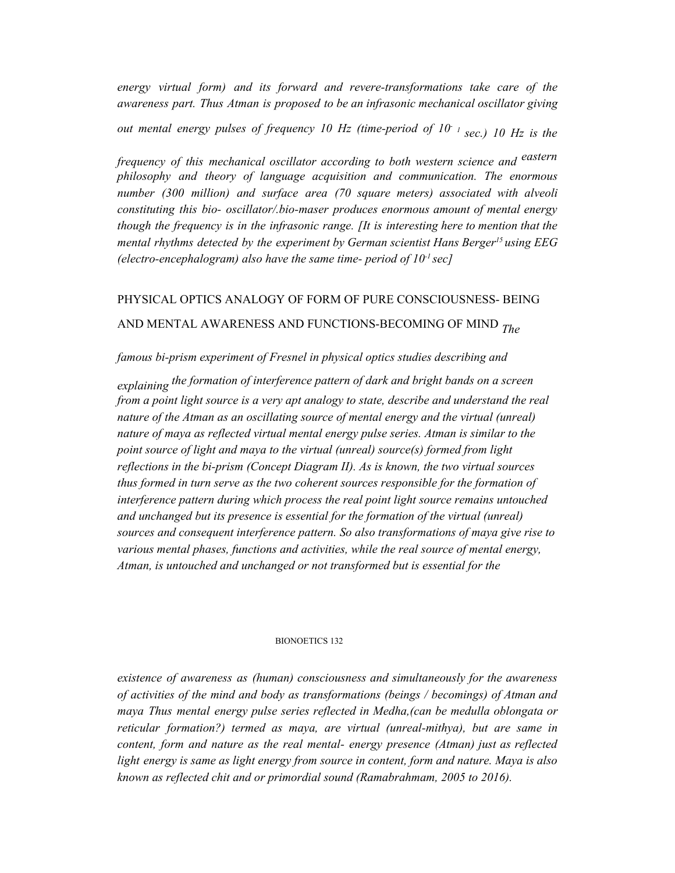*energy virtual form) and its forward and revere-transformations take care of the awareness part. Thus Atman is proposed to be an infrasonic mechanical oscillator giving*

*out mental energy pulses of frequency 10 Hz (time-period of 10 - 1 sec.) 10 Hz is the*

*frequency of this mechanical oscillator according to both western science and eastern philosophy and theory of language acquisition and communication. The enormous number (300 million) and surface area (70 square meters) associated with alveoli constituting this bio- oscillator/.bio-maser produces enormous amount of mental energy though the frequency is in the infrasonic range. [It is interesting here to mention that the mental rhythms detected by the experiment by German scientist Hans Berger <sup>15</sup> using EEG (electro-encephalogram) also have the same time- period of 10 -1 sec]*

## PHYSICAL OPTICS ANALOGY OF FORM OF PURE CONSCIOUSNESS- BEING AND MENTAL AWARENESS AND FUNCTIONS-BECOMING OF MIND *The*

## *famous bi-prism experiment of Fresnel in physical optics studies describing and*

*explaining the formation of interference pattern of dark and bright bands on a screen from a point light source is a very apt analogy to state, describe and understand the real nature of the Atman as an oscillating source of mental energy and the virtual (unreal) nature of maya as reflected virtual mental energy pulse series. Atman is similar to the point source of light and maya to the virtual (unreal) source(s) formed from light reflections in the bi-prism (Concept Diagram II). As is known, the two virtual sources thus formed in turn serve as the two coherent sources responsible for the formation of interference pattern during which process the real point light source remains untouched and unchanged but its presence is essential for the formation of the virtual (unreal) sources and consequent interference pattern. So also transformations of maya give rise to various mental phases, functions and activities, while the real source of mental energy, Atman, is untouched and unchanged or not transformed but is essential for the*

#### BIONOETICS 132

*existence of awareness as (human) consciousness and simultaneously for the awareness of activities of the mind and body as transformations (beings / becomings) of Atman and maya Thus mental energy pulse series reflected in Medha,(can be medulla oblongata or reticular formation?) termed as maya, are virtual (unreal-mithya), but are same in content, form and nature as the real mental- energy presence (Atman) just as reflected light energy is same as light energy from source in content, form and nature. Maya is also known as reflected chit and or primordial sound (Ramabrahmam, 2005 to 2016).*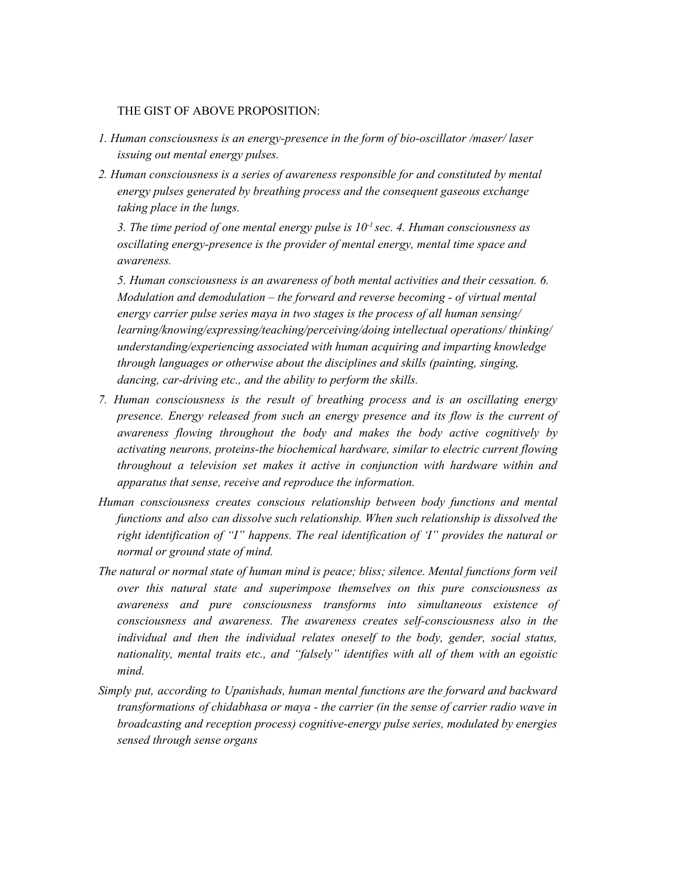## THE GIST OF ABOVE PROPOSITION:

- *1. Human consciousness is an energy-presence in the form of bio-oscillator /maser/ laser issuing out mental energy pulses.*
- *2. Human consciousness is a series of awareness responsible for and constituted by mental energy pulses generated by breathing process and the consequent gaseous exchange taking place in the lungs.*

*3. The time period of one mental energy pulse is 10 -1 sec. 4. Human consciousness as oscillating energy-presence is the provider of mental energy, mental time space and awareness.*

*5. Human consciousness is an awareness of both mental activities and their cessation. 6. Modulation and demodulation – the forward and reverse becoming - of virtual mental energy carrier pulse series maya in two stages is the process of all human sensing/ learning/knowing/expressing/teaching/perceiving/doing intellectual operations/ thinking/ understanding/experiencing associated with human acquiring and imparting knowledge through languages or otherwise about the disciplines and skills (painting, singing, dancing, car-driving etc., and the ability to perform the skills.*

- *7. Human consciousness is the result of breathing process and is an oscillating energy presence. Energy released from such an energy presence and its flow is the current of awareness flowing throughout the body and makes the body active cognitively by activating neurons, proteins-the biochemical hardware, similar to electric current flowing throughout a television set makes it active in conjunction with hardware within and apparatus that sense, receive and reproduce the information.*
- *Human consciousness creates conscious relationship between body functions and mental functions and also can dissolve such relationship. When such relationship is dissolved the right identification of "I" happens. The real identification of 'I" provides the natural or normal or ground state of mind.*
- *The natural or normal state of human mind is peace; bliss; silence. Mental functions form veil over this natural state and superimpose themselves on this pure consciousness as awareness and pure consciousness transforms into simultaneous existence of consciousness and awareness. The awareness creates self-consciousness also in the individual and then the individual relates oneself to the body, gender, social status, nationality, mental traits etc., and "falsely" identifies with all of them with an egoistic mind.*
- *Simply put, according to Upanishads, human mental functions are the forward and backward transformations of chidabhasa or maya - the carrier (in the sense of carrier radio wave in broadcasting and reception process) cognitive-energy pulse series, modulated by energies sensed through sense organs*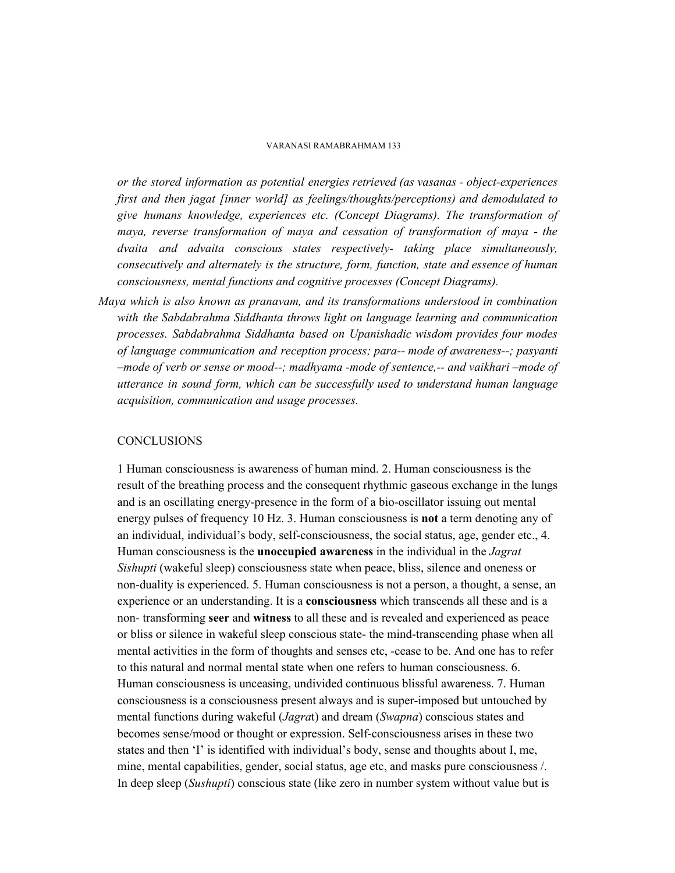#### VARANASI RAMABRAHMAM 133

*or the stored information as potential energies retrieved (as vasanas - object-experiences first and then jagat [inner world] as feelings/thoughts/perceptions) and demodulated to give humans knowledge, experiences etc. (Concept Diagrams). The transformation of maya, reverse transformation of maya and cessation of transformation of maya - the dvaita and advaita conscious states respectively- taking place simultaneously, consecutively and alternately is the structure, form, function, state and essence of human consciousness, mental functions and cognitive processes (Concept Diagrams).*

*Maya which is also known as pranavam, and its transformations understood in combination with the Sabdabrahma Siddhanta throws light on language learning and communication processes. Sabdabrahma Siddhanta based on Upanishadic wisdom provides four modes of language communication and reception process; para-- mode of awareness--; pasyanti –mode of verb or sense or mood--; madhyama -mode of sentence,-- and vaikhari –mode of utterance in sound form, which can be successfully used to understand human language acquisition, communication and usage processes.*

#### **CONCLUSIONS**

1 Human consciousness is awareness of human mind. 2. Human consciousness is the result of the breathing process and the consequent rhythmic gaseous exchange in the lungs and is an oscillating energy-presence in the form of a bio-oscillator issuing out mental energy pulses of frequency 10 Hz. 3. Human consciousness is **not** a term denoting any of an individual, individual's body, self-consciousness, the social status, age, gender etc., 4. Human consciousness is the **unoccupied awareness** in the individual in the *Jagrat Sishupti* (wakeful sleep) consciousness state when peace, bliss, silence and oneness or non-duality is experienced. 5. Human consciousness is not a person, a thought, a sense, an experience or an understanding. It is a **consciousness** which transcends all these and is a non- transforming **seer** and **witness** to all these and is revealed and experienced as peace or bliss or silence in wakeful sleep conscious state- the mind-transcending phase when all mental activities in the form of thoughts and senses etc, -cease to be. And one has to refer to this natural and normal mental state when one refers to human consciousness. 6. Human consciousness is unceasing, undivided continuous blissful awareness. 7. Human consciousness is a consciousness present always and is super-imposed but untouched by mental functions during wakeful (*Jagra*t) and dream (*Swapna*) conscious states and becomes sense/mood or thought or expression. Self-consciousness arises in these two states and then 'I' is identified with individual's body, sense and thoughts about I, me, mine, mental capabilities, gender, social status, age etc, and masks pure consciousness /. In deep sleep (*Sushupti*) conscious state (like zero in number system without value but is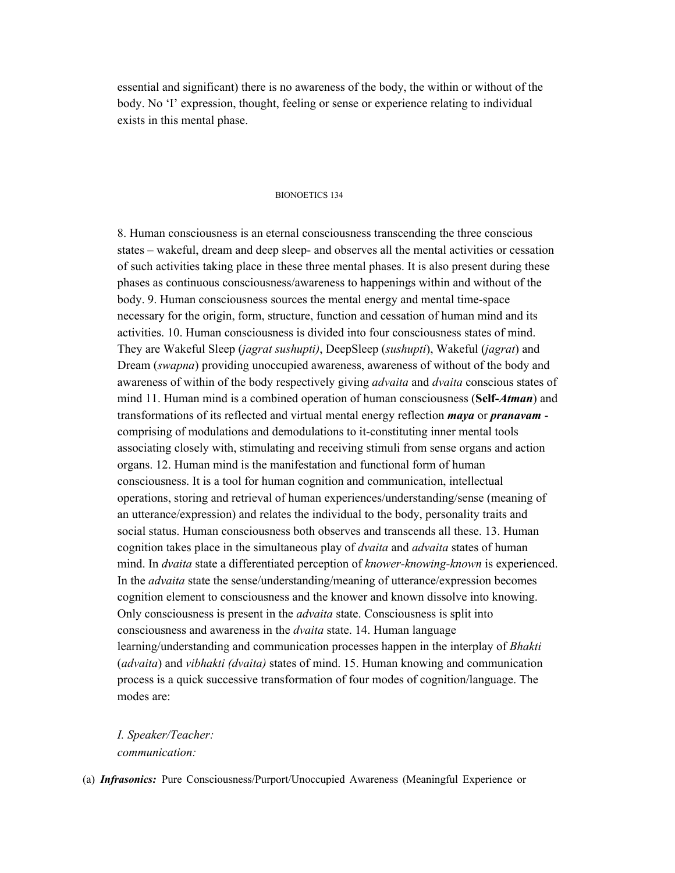essential and significant) there is no awareness of the body, the within or without of the body. No 'I' expression, thought, feeling or sense or experience relating to individual exists in this mental phase.

#### BIONOETICS 134

8. Human consciousness is an eternal consciousness transcending the three conscious states – wakeful, dream and deep sleep- and observes all the mental activities or cessation of such activities taking place in these three mental phases. It is also present during these phases as continuous consciousness/awareness to happenings within and without of the body. 9. Human consciousness sources the mental energy and mental time-space necessary for the origin, form, structure, function and cessation of human mind and its activities. 10. Human consciousness is divided into four consciousness states of mind. They are Wakeful Sleep (*jagrat sushupti)*, DeepSleep (*sushupti*), Wakeful (*jagrat*) and Dream (*swapna*) providing unoccupied awareness, awareness of without of the body and awareness of within of the body respectively giving *advaita* and *dvaita* conscious states of mind 11. Human mind is a combined operation of human consciousness (**Self-***Atman*) and transformations of its reflected and virtual mental energy reflection *maya* or *pranavam* comprising of modulations and demodulations to it-constituting inner mental tools associating closely with, stimulating and receiving stimuli from sense organs and action organs. 12. Human mind is the manifestation and functional form of human consciousness. It is a tool for human cognition and communication, intellectual operations, storing and retrieval of human experiences/understanding/sense (meaning of an utterance/expression) and relates the individual to the body, personality traits and social status. Human consciousness both observes and transcends all these. 13. Human cognition takes place in the simultaneous play of *dvaita* and *advaita* states of human mind. In *dvaita* state a differentiated perception of *knower-knowing-known* is experienced. In the *advaita* state the sense/understanding/meaning of utterance/expression becomes cognition element to consciousness and the knower and known dissolve into knowing. Only consciousness is present in the *advaita* state. Consciousness is split into consciousness and awareness in the *dvaita* state. 14. Human language learning/understanding and communication processes happen in the interplay of *Bhakti* (*advaita*) and *vibhakti (dvaita)* states of mind. 15. Human knowing and communication process is a quick successive transformation of four modes of cognition/language. The modes are:

*I. Speaker/Teacher: communication:*

(a) *Infrasonics:* Pure Consciousness/Purport/Unoccupied Awareness (Meaningful Experience or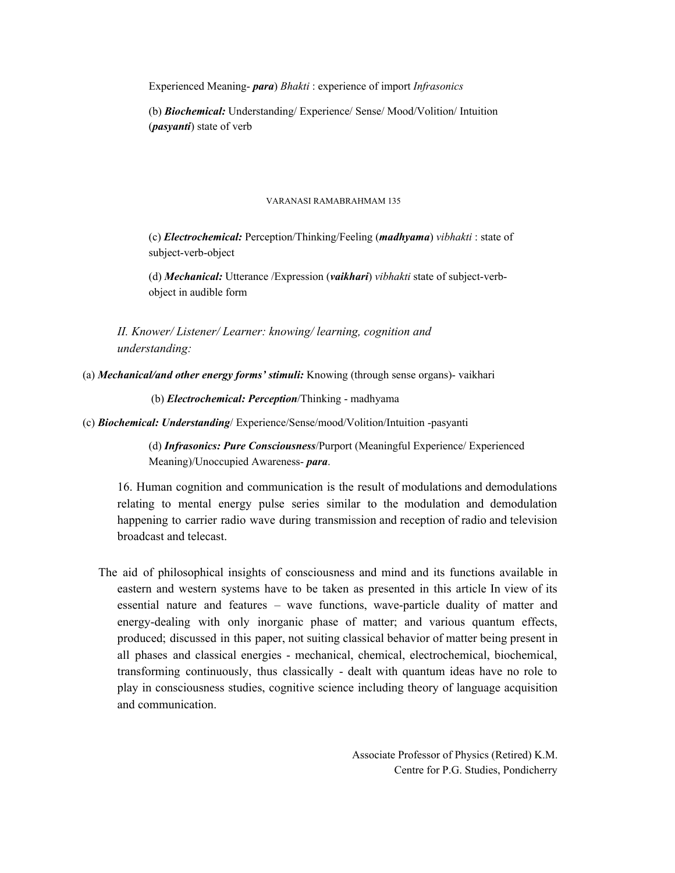Experienced Meaning- *para*) *Bhakti* : experience of import *Infrasonics*

(b) *Biochemical:* Understanding/ Experience/ Sense/ Mood/Volition/ Intuition (*pasyanti*) state of verb

#### VARANASI RAMABRAHMAM 135

(c) *Electrochemical:* Perception/Thinking/Feeling (*madhyama*) *vibhakti* : state of subject-verb-object

(d) *Mechanical:* Utterance /Expression (*vaikhari*) *vibhakti* state of subject-verbobject in audible form

*II. Knower/ Listener/ Learner: knowing/ learning, cognition and understanding:*

(a) *Mechanical/and other energy forms' stimuli:* Knowing (through sense organs)- vaikhari

(b) *Electrochemical: Perception*/Thinking - madhyama

(c) *Biochemical: Understanding*/ Experience/Sense/mood/Volition/Intuition -pasyanti

(d) *Infrasonics: Pure Consciousness*/Purport (Meaningful Experience/ Experienced Meaning)/Unoccupied Awareness- *para*.

16. Human cognition and communication is the result of modulations and demodulations relating to mental energy pulse series similar to the modulation and demodulation happening to carrier radio wave during transmission and reception of radio and television broadcast and telecast.

The aid of philosophical insights of consciousness and mind and its functions available in eastern and western systems have to be taken as presented in this article In view of its essential nature and features – wave functions, wave-particle duality of matter and energy-dealing with only inorganic phase of matter; and various quantum effects, produced; discussed in this paper, not suiting classical behavior of matter being present in all phases and classical energies - mechanical, chemical, electrochemical, biochemical, transforming continuously, thus classically - dealt with quantum ideas have no role to play in consciousness studies, cognitive science including theory of language acquisition and communication.

> Associate Professor of Physics (Retired) K.M. Centre for P.G. Studies, Pondicherry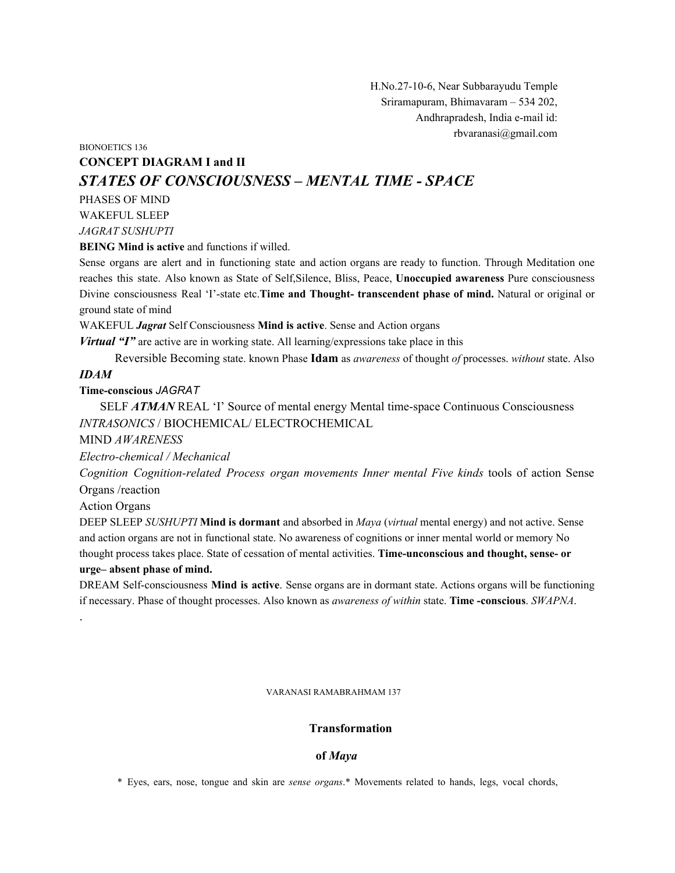H.No.27-10-6, Near Subbarayudu Temple Sriramapuram, Bhimavaram – 534 202, Andhrapradesh, India e-mail id: rbvaranasi@gmail.com

## BIONOETICS 136 **CONCEPT DIAGRAM I and II** *STATES OF CONSCIOUSNESS – MENTAL TIME - SPACE*

PHASES OF MIND WAKEFUL SLEEP *JAGRAT SUSHUPTI*

**BEING Mind is active** and functions if willed.

Sense organs are alert and in functioning state and action organs are ready to function. Through Meditation one reaches this state. Also known as State of Self,Silence, Bliss, Peace, **Unoccupied awareness** Pure consciousness Divine consciousness Real 'I'-state etc.**Time and Thought- transcendent phase of mind.** Natural or original or ground state of mind

WAKEFUL *Jagrat* Self Consciousness **Mind is active**. Sense and Action organs

*Virtual "I"* are active are in working state. All learning/expressions take place in this

Reversible Becoming state. known Phase **Idam** as *awareness* of thought *of* processes. *without* state. Also

## *IDAM*

**Time-conscious** *JAGRAT*

SELF *ATMAN* REAL 'I' Source of mental energy Mental time-space Continuous Consciousness *INTRASONICS* / BIOCHEMICAL/ ELECTROCHEMICAL

MIND *AWARENESS*

*Electro-chemical / Mechanical*

*Cognition Cognition-related Process organ movements Inner mental Five kinds* tools of action Sense Organs /reaction

Action Organs

.

DEEP SLEEP *SUSHUPTI* **Mind is dormant** and absorbed in *Maya* (*virtual* mental energy) and not active. Sense and action organs are not in functional state. No awareness of cognitions or inner mental world or memory No thought process takes place. State of cessation of mental activities. **Time-unconscious and thought, sense- or urge– absent phase of mind.**

DREAM Self-consciousness **Mind is active**. Sense organs are in dormant state. Actions organs will be functioning if necessary. Phase of thought processes. Also known as *awareness of within* state. **Time -conscious**. *SWAPNA*.

VARANASI RAMABRAHMAM 137

## **Transformation**

#### **of** *Maya*

\* Eyes, ears, nose, tongue and skin are *sense organs*.\* Movements related to hands, legs, vocal chords,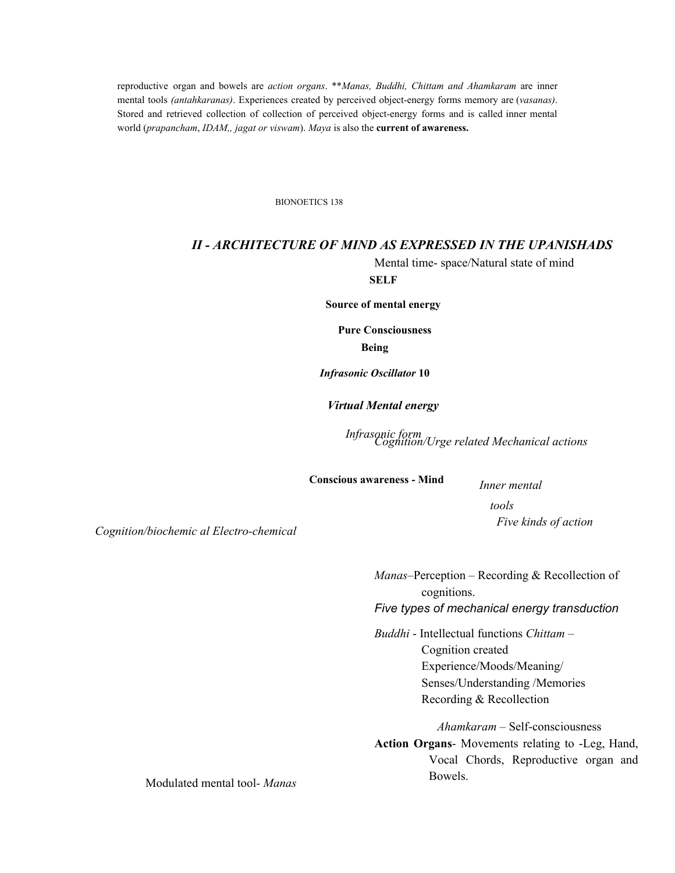reproductive organ and bowels are *action organs*. \*\**Manas, Buddhi, Chittam and Ahamkaram* are inner mental tools *(antahkaranas)*. Experiences created by perceived object-energy forms memory are (*vasanas)*. Stored and retrieved collection of collection of perceived object-energy forms and is called inner mental world (*prapancham*, *IDAM,, jagat or viswam*). *Maya* is also the **current of awareness.**

BIONOETICS 138

## *II - ARCHITECTURE OF MIND AS EXPRESSED IN THE UPANISHADS*

**SELF** Mental time- space/Natural state of mind

**Source of mental energy**

**Pure Consciousness Being**

*Infrasonic Oscillator* **10**

*Virtual Mental energy*

*Infrasonic form Cognition/Urge related Mechanical actions*

**Conscious awareness - Mind**

*Inner mental tools Five kinds of action*

*Cognition/biochemic al Electro-chemical*

*Manas*–Perception – Recording & Recollection of cognitions.

*Five types of mechanical energy transduction*

*Buddhi* - Intellectual functions *Chittam* – Cognition created Experience/Moods/Meaning/ Senses/Understanding /Memories Recording & Recollection

*Ahamkaram* – Self-consciousness **Action Organs**- Movements relating to -Leg, Hand, Vocal Chords, Reproductive organ and Bowels.

Modulated mental tool*- Manas*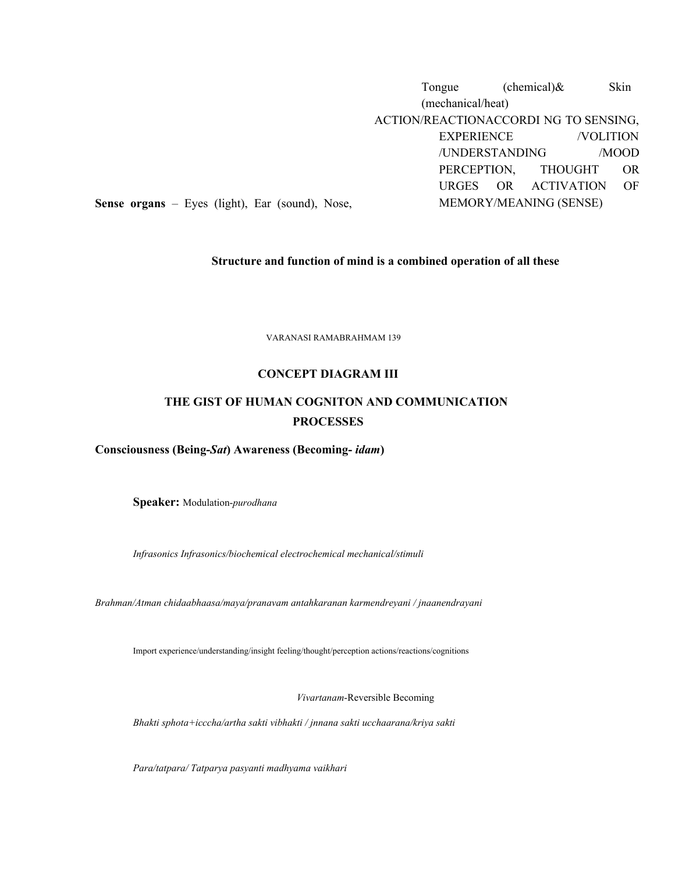Tongue (chemical) & Skin (mechanical/heat) ACTION/REACTIONACCORDI NG TO SENSING, EXPERIENCE /VOLITION /UNDERSTANDING /MOOD PERCEPTION, THOUGHT OR URGES OR ACTIVATION OF MEMORY/MEANING (SENSE)

**Sense organs** – Eyes (light), Ear (sound), Nose,

## **Structure and function of mind is a combined operation of all these**

VARANASI RAMABRAHMAM 139

#### **CONCEPT DIAGRAM III**

## **THE GIST OF HUMAN COGNITON AND COMMUNICATION PROCESSES**

## **Consciousness (Being-***Sat***) Awareness (Becoming-** *idam***)**

**Speaker:** Modulation-*purodhana*

*Infrasonics Infrasonics/biochemical electrochemical mechanical/stimuli*

*Brahman/Atman chidaabhaasa/maya/pranavam antahkaranan karmendreyani / jnaanendrayani*

Import experience/understanding/insight feeling/thought/perception actions/reactions/cognitions

*Vivartanam*-Reversible Becoming

*Bhakti sphota+icccha/artha sakti vibhakti / jnnana sakti ucchaarana/kriya sakti*

*Para/tatpara/ Tatparya pasyanti madhyama vaikhari*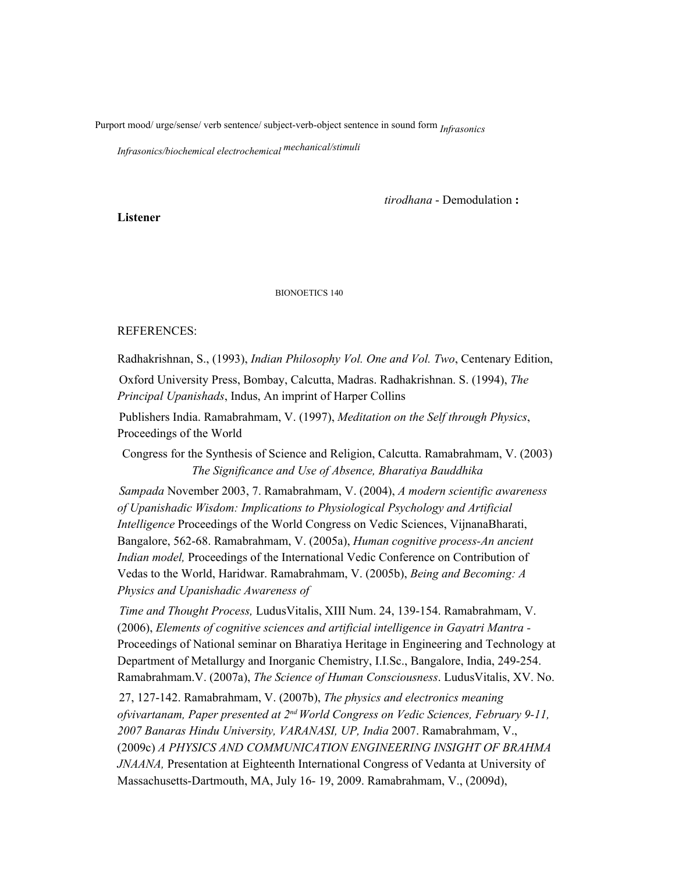Purport mood/ urge/sense/ verb sentence/ subject-verb-object sentence in sound form *Infrasonics*

*Infrasonics/biochemical electrochemical mechanical/stimuli*

*tirodhana* - Demodulation **:**

**Listener**

BIONOETICS 140

## REFERENCES:

Radhakrishnan, S., (1993), *Indian Philosophy Vol. One and Vol. Two*, Centenary Edition,

Oxford University Press, Bombay, Calcutta, Madras. Radhakrishnan. S. (1994), *The Principal Upanishads*, Indus, An imprint of Harper Collins

Publishers India. Ramabrahmam, V. (1997), *Meditation on the Self through Physics*, Proceedings of the World

Congress for the Synthesis of Science and Religion, Calcutta. Ramabrahmam, V. (2003) *The Significance and Use of Absence, Bharatiya Bauddhika*

*Sampada* November 2003, 7. Ramabrahmam, V. (2004), *A modern scientific awareness of Upanishadic Wisdom: Implications to Physiological Psychology and Artificial Intelligence* Proceedings of the World Congress on Vedic Sciences, VijnanaBharati, Bangalore, 562-68. Ramabrahmam, V. (2005a), *Human cognitive process-An ancient Indian model,* Proceedings of the International Vedic Conference on Contribution of Vedas to the World, Haridwar. Ramabrahmam, V. (2005b), *Being and Becoming: A Physics and Upanishadic Awareness of*

*Time and Thought Process,* LudusVitalis, XIII Num. 24, 139-154. Ramabrahmam, V. (2006), *Elements of cognitive sciences and artificial intelligence in Gayatri Mantra -* Proceedings of National seminar on Bharatiya Heritage in Engineering and Technology at Department of Metallurgy and Inorganic Chemistry, I.I.Sc., Bangalore, India, 249-254. Ramabrahmam.V. (2007a), *The Science of Human Consciousness*. LudusVitalis, XV. No.

27, 127-142. Ramabrahmam, V. (2007b), *The physics and electronics meaning ofvivartanam, Paper presented at 2 nd World Congress on Vedic Sciences, February 9-11, 2007 Banaras Hindu University, VARANASI, UP, India* 2007. Ramabrahmam, V., (2009c) *A PHYSICS AND COMMUNICATION ENGINEERING INSIGHT OF BRAHMA JNAANA,* Presentation at Eighteenth International Congress of Vedanta at University of Massachusetts-Dartmouth, MA, July 16- 19, 2009. Ramabrahmam, V., (2009d),